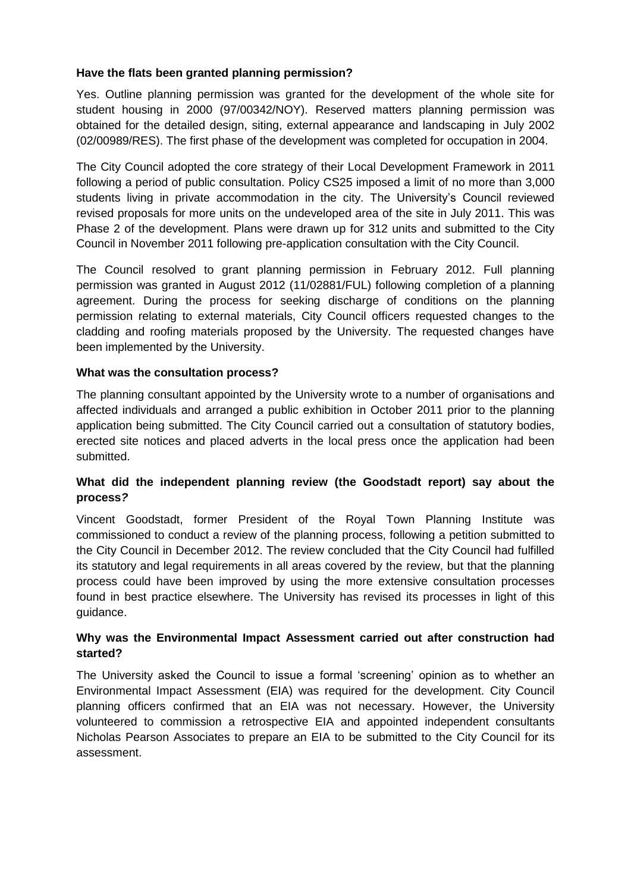## **Have the flats been granted planning permission?**

Yes. Outline planning permission was granted for the development of the whole site for student housing in 2000 (97/00342/NOY). Reserved matters planning permission was obtained for the detailed design, siting, external appearance and landscaping in July 2002 (02/00989/RES). The first phase of the development was completed for occupation in 2004.

The City Council adopted the core strategy of their Local Development Framework in 2011 following a period of public consultation. Policy CS25 imposed a limit of no more than 3,000 students living in private accommodation in the city. The University's Council reviewed revised proposals for more units on the undeveloped area of the site in July 2011. This was Phase 2 of the development. Plans were drawn up for 312 units and submitted to the City Council in November 2011 following pre-application consultation with the City Council.

The Council resolved to grant planning permission in February 2012. Full planning permission was granted in August 2012 (11/02881/FUL) following completion of a planning agreement. During the process for seeking discharge of conditions on the planning permission relating to external materials, City Council officers requested changes to the cladding and roofing materials proposed by the University. The requested changes have been implemented by the University.

### **What was the consultation process?**

The planning consultant appointed by the University wrote to a number of organisations and affected individuals and arranged a public exhibition in October 2011 prior to the planning application being submitted. The City Council carried out a consultation of statutory bodies, erected site notices and placed adverts in the local press once the application had been submitted.

# **What did the independent planning review (the Goodstadt report) say about the process***?*

Vincent Goodstadt, former President of the Royal Town Planning Institute was commissioned to conduct a review of the planning process, following a petition submitted to the City Council in December 2012. The review concluded that the City Council had fulfilled its statutory and legal requirements in all areas covered by the review, but that the planning process could have been improved by using the more extensive consultation processes found in best practice elsewhere. The University has revised its processes in light of this guidance.

### **Why was the Environmental Impact Assessment carried out after construction had started?**

The University asked the Council to issue a formal 'screening' opinion as to whether an Environmental Impact Assessment (EIA) was required for the development. City Council planning officers confirmed that an EIA was not necessary. However, the University volunteered to commission a retrospective EIA and appointed independent consultants Nicholas Pearson Associates to prepare an EIA to be submitted to the City Council for its assessment.